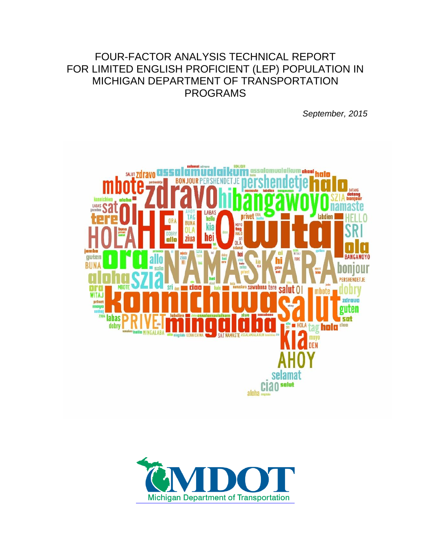### FOUR-FACTOR ANALYSIS TECHNICAL REPORT FOR LIMITED ENGLISH PROFICIENT (LEP) POPULATION IN MICHIGAN DEPARTMENT OF TRANSPORTATION PROGRAMS

*September, 2015*



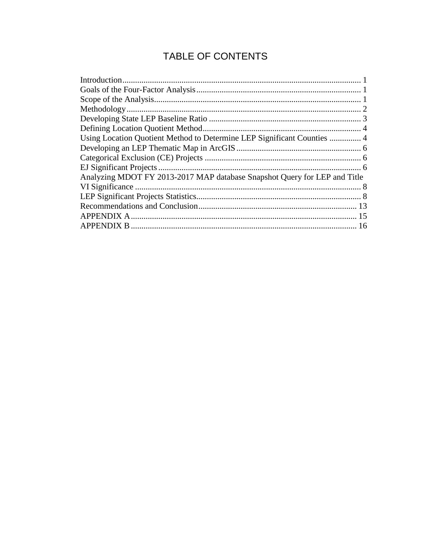## TABLE OF CONTENTS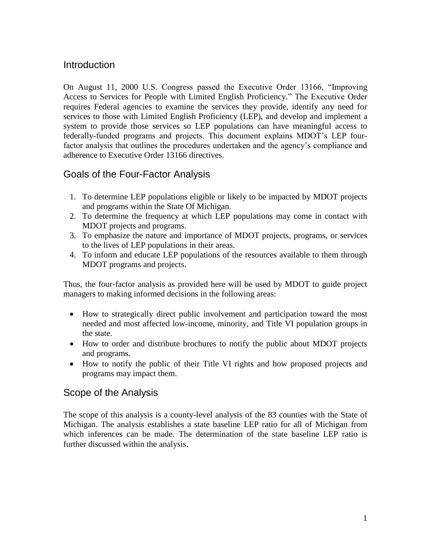#### <span id="page-2-0"></span>**Introduction**

On August 11, 2000 U.S. Congress passed the Executive Order 13166, "Improving Access to Services for People with Limited English Proficiency." The Executive Order requires Federal agencies to examine the services they provide, identify any need for services to those with Limited English Proficiency (LEP), and develop and implement a system to provide those services so LEP populations can have meaningful access to federally-funded programs and projects. This document explains MDOT's LEP fourfactor analysis that outlines the procedures undertaken and the agency's compliance and adherence to Executive Order 13166 directives.

#### <span id="page-2-1"></span>Goals of the Four-Factor Analysis

- 1. To determine LEP populations eligible or likely to be impacted by MDOT projects and programs within the State Of Michigan.
- 2. To determine the frequency at which LEP populations may come in contact with MDOT projects and programs.
- 3. To emphasize the nature and importance of MDOT projects, programs, or services to the lives of LEP populations in their areas.
- 4. To inform and educate LEP populations of the resources available to them through MDOT programs and projects.

Thus, the four-factor analysis as provided here will be used by MDOT to guide project managers to making informed decisions in the following areas:

- How to strategically direct public involvement and participation toward the most needed and most affected low-income, minority, and Title VI population groups in the state.
- How to order and distribute brochures to notify the public about MDOT projects and programs.
- How to notify the public of their Title VI rights and how proposed projects and programs may impact them.

### <span id="page-2-2"></span>Scope of the Analysis

The scope of this analysis is a county-level analysis of the 83 counties with the State of Michigan. The analysis establishes a state baseline LEP ratio for all of Michigan from which inferences can be made. The determination of the state baseline LEP ratio is further discussed within the analysis.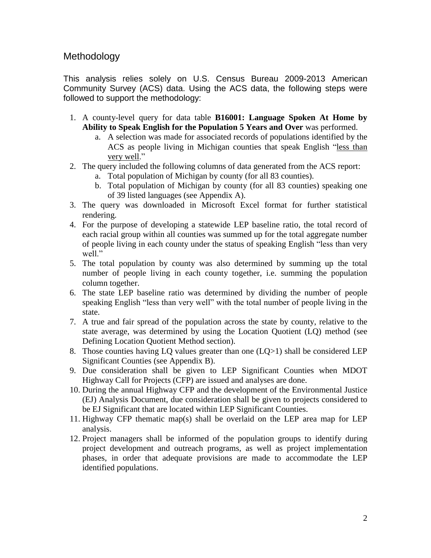#### <span id="page-3-0"></span>Methodology

This analysis relies solely on U.S. Census Bureau 2009-2013 American Community Survey (ACS) data. Using the ACS data, the following steps were followed to support the methodology:

- 1. A county-level query for data table **B16001: Language Spoken At Home by Ability to Speak English for the Population 5 Years and Over** was performed.
	- a. A selection was made for associated records of populations identified by the ACS as people living in Michigan counties that speak English "less than very well."
- 2. The query included the following columns of data generated from the ACS report:
	- a. Total population of Michigan by county (for all 83 counties).
	- b. Total population of Michigan by county (for all 83 counties) speaking one of 39 listed languages (see Appendix A).
- 3. The query was downloaded in Microsoft Excel format for further statistical rendering.
- 4. For the purpose of developing a statewide LEP baseline ratio, the total record of each racial group within all counties was summed up for the total aggregate number of people living in each county under the status of speaking English "less than very well."
- 5. The total population by county was also determined by summing up the total number of people living in each county together, i.e. summing the population column together.
- 6. The state LEP baseline ratio was determined by dividing the number of people speaking English "less than very well" with the total number of people living in the state.
- 7. A true and fair spread of the population across the state by county, relative to the state average, was determined by using the Location Quotient (LQ) method (see Defining Location Quotient Method section).
- 8. Those counties having LQ values greater than one  $(LQ>1)$  shall be considered LEP Significant Counties (see Appendix B).
- 9. Due consideration shall be given to LEP Significant Counties when MDOT Highway Call for Projects (CFP) are issued and analyses are done.
- 10. During the annual Highway CFP and the development of the Environmental Justice (EJ) Analysis Document, due consideration shall be given to projects considered to be EJ Significant that are located within LEP Significant Counties.
- 11. Highway CFP thematic map(s) shall be overlaid on the LEP area map for LEP analysis.
- 12. Project managers shall be informed of the population groups to identify during project development and outreach programs, as well as project implementation phases, in order that adequate provisions are made to accommodate the LEP identified populations.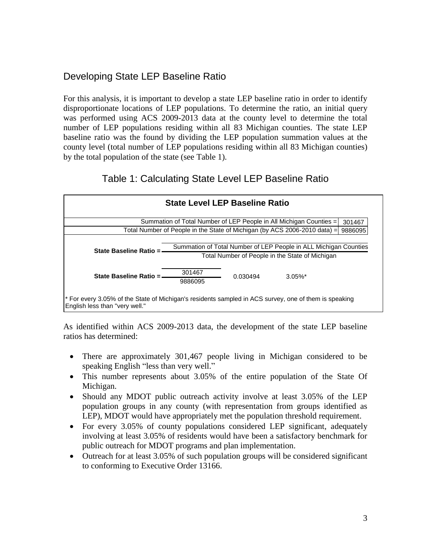### <span id="page-4-0"></span>Developing State LEP Baseline Ratio

For this analysis, it is important to develop a state LEP baseline ratio in order to identify disproportionate locations of LEP populations. To determine the ratio, an initial query was performed using ACS 2009-2013 data at the county level to determine the total number of LEP populations residing within all 83 Michigan counties. The state LEP baseline ratio was the found by dividing the LEP population summation values at the county level (total number of LEP populations residing within all 83 Michigan counties) by the total population of the state (see Table 1).

### Table 1: Calculating State Level LEP Baseline Ratio



As identified within ACS 2009-2013 data, the development of the state LEP baseline ratios has determined:

- There are approximately 301,467 people living in Michigan considered to be speaking English "less than very well."
- This number represents about 3.05% of the entire population of the State Of Michigan.
- Should any MDOT public outreach activity involve at least 3.05% of the LEP population groups in any county (with representation from groups identified as LEP), MDOT would have appropriately met the population threshold requirement.
- For every 3.05% of county populations considered LEP significant, adequately involving at least 3.05% of residents would have been a satisfactory benchmark for public outreach for MDOT programs and plan implementation.
- Outreach for at least 3.05% of such population groups will be considered significant to conforming to Executive Order 13166.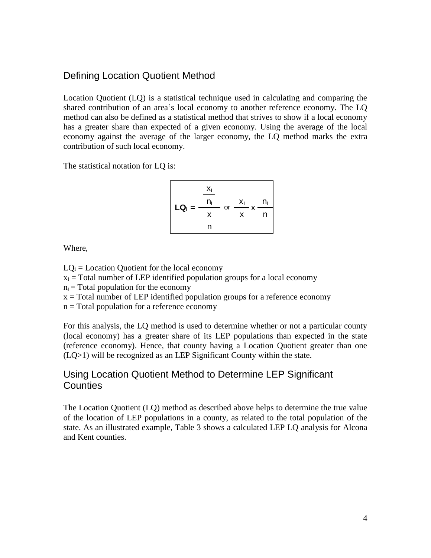#### <span id="page-5-0"></span>Defining Location Quotient Method

Location Quotient (LQ) is a statistical technique used in calculating and comparing the shared contribution of an area's local economy to another reference economy. The LQ method can also be defined as a statistical method that strives to show if a local economy has a greater share than expected of a given economy. Using the average of the local economy against the average of the larger economy, the LQ method marks the extra contribution of such local economy.

The statistical notation for LQ is:

$$
LQ_i = \frac{\frac{x_i}{n_i}}{\frac{x}{n}} \text{ or } \frac{x_i}{x} \times \frac{n_i}{n}
$$

Where,

 $LO<sub>i</sub> = Location Quotient for the local economy$ 

 $x_i$  = Total number of LEP identified population groups for a local economy

 $n_i$  = Total population for the economy

 $x =$ Total number of LEP identified population groups for a reference economy

 $n = Total population for a reference economy$ 

For this analysis, the LQ method is used to determine whether or not a particular county (local economy) has a greater share of its LEP populations than expected in the state (reference economy). Hence, that county having a Location Quotient greater than one (LQ>1) will be recognized as an LEP Significant County within the state.

#### <span id="page-5-1"></span>Using Location Quotient Method to Determine LEP Significant **Counties**

The Location Quotient (LQ) method as described above helps to determine the true value of the location of LEP populations in a county, as related to the total population of the state. As an illustrated example, Table 3 shows a calculated LEP LQ analysis for Alcona and Kent counties.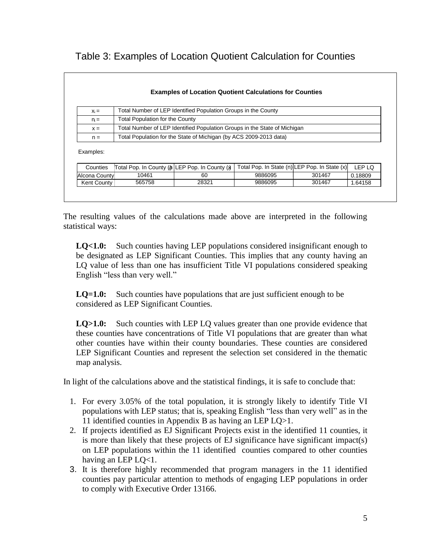|  | Table 3: Examples of Location Quotient Calculation for Counties |
|--|-----------------------------------------------------------------|
|--|-----------------------------------------------------------------|

| Total Number of LEP Identified Population Groups in the County<br>$X_i =$                                                          |                                                                           |                                        |         |        |         |  |  |  |  |
|------------------------------------------------------------------------------------------------------------------------------------|---------------------------------------------------------------------------|----------------------------------------|---------|--------|---------|--|--|--|--|
| $n =$                                                                                                                              |                                                                           | <b>Total Population for the County</b> |         |        |         |  |  |  |  |
| $x =$                                                                                                                              | Total Number of LEP Identified Population Groups in the State of Michigan |                                        |         |        |         |  |  |  |  |
| $n =$                                                                                                                              | Total Population for the State of Michigan (by ACS 2009-2013 data)        |                                        |         |        |         |  |  |  |  |
| Examples:<br>Total Pop. In State (n) LEP Pop. In State (x)<br>LEP LQ<br>Total Pop. In County (n LEP Pop. In County (x)<br>Counties |                                                                           |                                        |         |        |         |  |  |  |  |
|                                                                                                                                    |                                                                           | 60                                     | 9886095 | 301467 | 0.18809 |  |  |  |  |
| Alcona County                                                                                                                      | 10461                                                                     |                                        |         |        |         |  |  |  |  |

The resulting values of the calculations made above are interpreted in the following statistical ways:

**LQ<1.0:** Such counties having LEP populations considered insignificant enough to be designated as LEP Significant Counties. This implies that any county having an LQ value of less than one has insufficient Title VI populations considered speaking English "less than very well."

**LQ=1.0:** Such counties have populations that are just sufficient enough to be considered as LEP Significant Counties.

**LQ>1.0:** Such counties with LEP LQ values greater than one provide evidence that these counties have concentrations of Title VI populations that are greater than what other counties have within their county boundaries. These counties are considered LEP Significant Counties and represent the selection set considered in the thematic map analysis.

In light of the calculations above and the statistical findings, it is safe to conclude that:

- 1. For every 3.05% of the total population, it is strongly likely to identify Title VI populations with LEP status; that is, speaking English "less than very well" as in the 11 identified counties in Appendix B as having an LEP LQ>1.
- 2. If projects identified as EJ Significant Projects exist in the identified 11 counties, it is more than likely that these projects of EJ significance have significant impact(s) on LEP populations within the 11 identified counties compared to other counties having an LEP LQ<1.
- 3. It is therefore highly recommended that program managers in the 11 identified counties pay particular attention to methods of engaging LEP populations in order to comply with Executive Order 13166.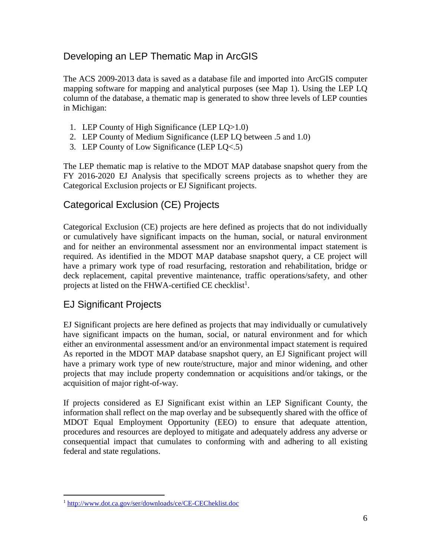### <span id="page-7-0"></span>Developing an LEP Thematic Map in ArcGIS

The ACS 2009-2013 data is saved as a database file and imported into ArcGIS computer mapping software for mapping and analytical purposes (see Map 1). Using the LEP LQ column of the database, a thematic map is generated to show three levels of LEP counties in Michigan:

- 1. LEP County of High Significance (LEP LQ>1.0)
- 2. LEP County of Medium Significance (LEP LQ between .5 and 1.0)
- 3. LEP County of Low Significance (LEP LQ<.5)

The LEP thematic map is relative to the MDOT MAP database snapshot query from the FY 2016-2020 EJ Analysis that specifically screens projects as to whether they are Categorical Exclusion projects or EJ Significant projects.

### <span id="page-7-1"></span>Categorical Exclusion (CE) Projects

Categorical Exclusion (CE) projects are here defined as projects that do not individually or cumulatively have significant impacts on the human, social, or natural environment and for neither an environmental assessment nor an environmental impact statement is required. As identified in the MDOT MAP database snapshot query, a CE project will have a primary work type of road resurfacing, restoration and rehabilitation, bridge or deck replacement, capital preventive maintenance, traffic operations/safety, and other projects at listed on the FHWA-certified CE checklist<sup>1</sup>.

### <span id="page-7-2"></span>EJ Significant Projects

 $\overline{a}$ 

EJ Significant projects are here defined as projects that may individually or cumulatively have significant impacts on the human, social, or natural environment and for which either an environmental assessment and/or an environmental impact statement is required As reported in the MDOT MAP database snapshot query, an EJ Significant project will have a primary work type of new route/structure, major and minor widening, and other projects that may include property condemnation or acquisitions and/or takings, or the acquisition of major right-of-way.

If projects considered as EJ Significant exist within an LEP Significant County, the information shall reflect on the map overlay and be subsequently shared with the office of MDOT Equal Employment Opportunity (EEO) to ensure that adequate attention, procedures and resources are deployed to mitigate and adequately address any adverse or consequential impact that cumulates to conforming with and adhering to all existing federal and state regulations.

<sup>1</sup> <http://www.dot.ca.gov/ser/downloads/ce/CE-CECheklist.doc>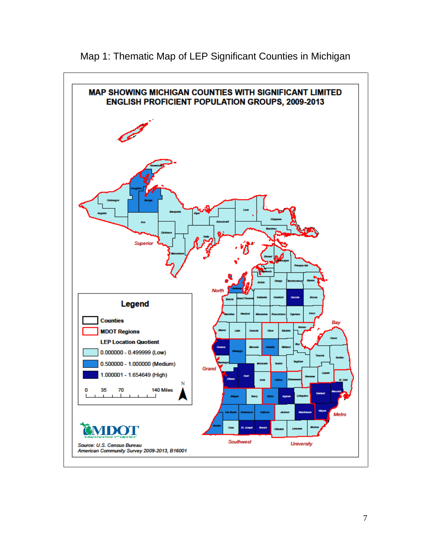

Map 1: Thematic Map of LEP Significant Counties in Michigan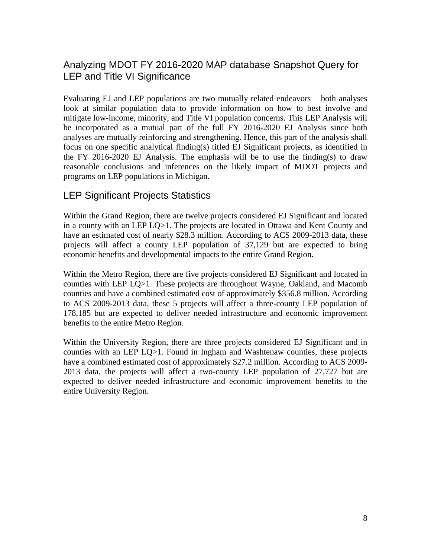### <span id="page-9-0"></span>Analyzing MDOT FY 2016-2020 MAP database Snapshot Query for LEP and Title VI Significance

Evaluating EJ and LEP populations are two mutually related endeavors – both analyses look at similar population data to provide information on how to best involve and mitigate low-income, minority, and Title VI population concerns. This LEP Analysis will be incorporated as a mutual part of the full FY 2016-2020 EJ Analysis since both analyses are mutually reinforcing and strengthening. Hence, this part of the analysis shall focus on one specific analytical finding(s) titled EJ Significant projects, as identified in the FY 2016-2020 EJ Analysis. The emphasis will be to use the finding(s) to draw reasonable conclusions and inferences on the likely impact of MDOT projects and programs on LEP populations in Michigan.

### <span id="page-9-1"></span>LEP Significant Projects Statistics

Within the Grand Region, there are twelve projects considered EJ Significant and located in a county with an LEP LQ>1. The projects are located in Ottawa and Kent County and have an estimated cost of nearly \$28.3 million. According to ACS 2009-2013 data, these projects will affect a county LEP population of 37,129 but are expected to bring economic benefits and developmental impacts to the entire Grand Region.

Within the Metro Region, there are five projects considered EJ Significant and located in counties with LEP LQ>1. These projects are throughout Wayne, Oakland, and Macomb counties and have a combined estimated cost of approximately \$356.8 million. According to ACS 2009-2013 data, these 5 projects will affect a three-county LEP population of 178,185 but are expected to deliver needed infrastructure and economic improvement benefits to the entire Metro Region.

Within the University Region, there are three projects considered EJ Significant and in counties with an LEP LQ>1. Found in Ingham and Washtenaw counties, these projects have a combined estimated cost of approximately \$27.2 million. According to ACS 2009- 2013 data, the projects will affect a two-county LEP population of 27,727 but are expected to deliver needed infrastructure and economic improvement benefits to the entire University Region.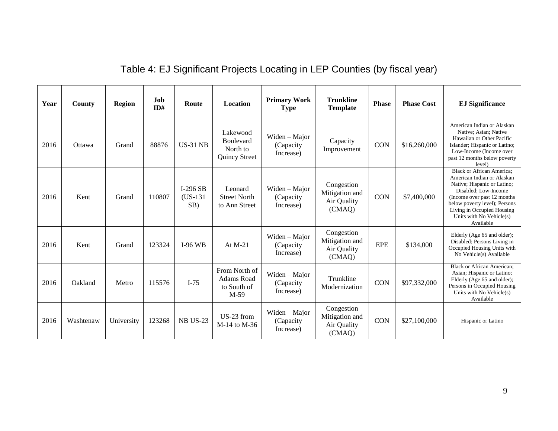|  | Table 4: EJ Significant Projects Locating in LEP Counties (by fiscal year) |  |  |
|--|----------------------------------------------------------------------------|--|--|
|  |                                                                            |  |  |

| Year | <b>County</b> | <b>Region</b> | Job<br>ID# | Route                           | Location                                                    | <b>Primary Work</b><br><b>Type</b>        | <b>Trunkline</b><br><b>Template</b>                   | <b>Phase</b> | <b>Phase Cost</b> | <b>EJ Significance</b>                                                                                                                                                                                                                                        |
|------|---------------|---------------|------------|---------------------------------|-------------------------------------------------------------|-------------------------------------------|-------------------------------------------------------|--------------|-------------------|---------------------------------------------------------------------------------------------------------------------------------------------------------------------------------------------------------------------------------------------------------------|
| 2016 | Ottawa        | Grand         | 88876      | <b>US-31 NB</b>                 | Lakewood<br><b>Boulevard</b><br>North to<br>Quincy Street   | Widen - Major<br>(Capacity<br>Increase)   | Capacity<br>Improvement                               |              | \$16,260,000      | American Indian or Alaskan<br>Native; Asian; Native<br>Hawaiian or Other Pacific<br>Islander; Hispanic or Latino;<br>Low-Income (Income over<br>past 12 months below poverty<br>level)                                                                        |
| 2016 | Kent          | Grand         | 110807     | $I-296$ SB<br>$(US-131)$<br>SB) | Leonard<br><b>Street North</b><br>to Ann Street             | Widen - Major<br>(Capacity<br>Increase)   | Congestion<br>Mitigation and<br>Air Quality<br>(CMAQ) | <b>CON</b>   | \$7,400,000       | <b>Black or African America:</b><br>American Indian or Alaskan<br>Native; Hispanic or Latino;<br>Disabled; Low-Income<br>(Income over past 12 months)<br>below poverty level); Persons<br>Living in Occupied Housing<br>Units with No Vehicle(s)<br>Available |
| 2016 | Kent          | Grand         | 123324     | $I-96$ WB                       | At $M-21$                                                   | Widen $-$ Major<br>(Capacity<br>Increase) | Congestion<br>Mitigation and<br>Air Quality<br>(CMAQ) | <b>EPE</b>   | \$134,000         | Elderly (Age 65 and older);<br>Disabled; Persons Living in<br>Occupied Housing Units with<br>No Vehicle(s) Available                                                                                                                                          |
| 2016 | Oakland       | Metro         | 115576     | $I-75$                          | From North of<br><b>Adams Road</b><br>to South of<br>$M-59$ | Widen - Major<br>(Capacity)<br>Increase)  | Trunkline<br>Modernization                            | <b>CON</b>   | \$97,332,000      | <b>Black or African American;</b><br>Asian; Hispanic or Latino;<br>Elderly (Age 65 and older);<br>Persons in Occupied Housing<br>Units with No Vehicle(s)<br>Available                                                                                        |
| 2016 | Washtenaw     | University    | 123268     | <b>NB US-23</b>                 | US-23 from<br>M-14 to M-36                                  | Widen – Major<br>(Capacity<br>Increase)   | Congestion<br>Mitigation and<br>Air Quality<br>(CMAQ) | <b>CON</b>   | \$27,100,000      | Hispanic or Latino                                                                                                                                                                                                                                            |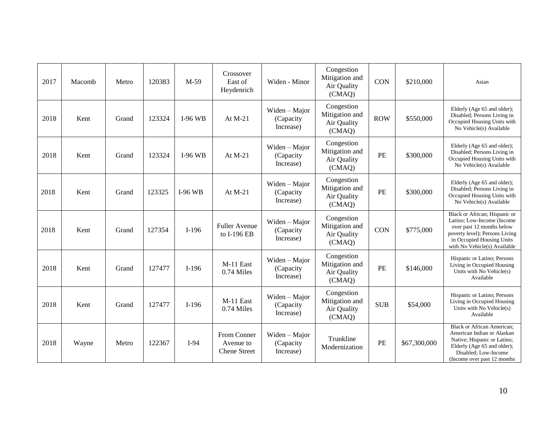| 2017 | Macomb | Metro | 120383 | $M-59$         | Crossover<br>East of<br>Heydenrich              | Widen - Minor                           | Congestion<br>Mitigation and<br>Air Quality<br>(CMAQ)       | <b>CON</b> | \$210,000    | Asian                                                                                                                                                                                   |
|------|--------|-------|--------|----------------|-------------------------------------------------|-----------------------------------------|-------------------------------------------------------------|------------|--------------|-----------------------------------------------------------------------------------------------------------------------------------------------------------------------------------------|
| 2018 | Kent   | Grand | 123324 | <b>I-96 WB</b> | At $M-21$                                       | Widen - Major<br>(Capacity<br>Increase) | Congestion<br>Mitigation and<br>Air Quality<br>(CMAQ)       | <b>ROW</b> | \$550,000    | Elderly (Age 65 and older);<br>Disabled; Persons Living in<br>Occupied Housing Units with<br>No Vehicle(s) Available                                                                    |
| 2018 | Kent   | Grand | 123324 | <b>I-96 WB</b> | At $M-21$                                       | Widen - Major<br>(Capacity<br>Increase) | Congestion<br>Mitigation and<br>PE<br>Air Quality<br>(CMAQ) |            | \$300,000    | Elderly (Age 65 and older);<br>Disabled; Persons Living in<br>Occupied Housing Units with<br>No Vehicle(s) Available                                                                    |
| 2018 | Kent   | Grand | 123325 | <b>I-96 WB</b> | At $M-21$                                       | Widen - Major<br>(Capacity<br>Increase) | Congestion<br>Mitigation and<br>PE<br>Air Quality<br>(CMAQ) |            | \$300,000    | Elderly (Age 65 and older);<br>Disabled; Persons Living in<br>Occupied Housing Units with<br>No Vehicle(s) Available                                                                    |
| 2018 | Kent   | Grand | 127354 | $I-196$        | <b>Fuller Avenue</b><br>to I-196 EB             | Widen - Major<br>(Capacity<br>Increase) | Congestion<br>Mitigation and<br>Air Quality<br>(CMAQ)       | <b>CON</b> | \$775,000    | Black or African; Hispanic or<br>Latino; Low-Income (Income<br>over past 12 months below<br>poverty level); Persons Living<br>in Occupied Housing Units<br>with No Vehicle(s) Available |
| 2018 | Kent   | Grand | 127477 | $I-196$        | M-11 East<br>$0.74$ Miles                       | Widen - Major<br>(Capacity<br>Increase) | Congestion<br>Mitigation and<br>Air Quality<br>(CMAQ)       | PE         | \$146,000    | Hispanic or Latino; Persons<br>Living in Occupied Housing<br>Units with No Vehicle(s)<br>Available                                                                                      |
| 2018 | Kent   | Grand | 127477 | $I-196$        | M-11 East<br>0.74 Miles                         | Widen - Major<br>(Capacity<br>Increase) | Congestion<br>Mitigation and<br>Air Quality<br>(CMAQ)       | <b>SUB</b> | \$54,000     | Hispanic or Latino; Persons<br>Living in Occupied Housing<br>Units with No Vehicle(s)<br>Available                                                                                      |
| 2018 | Wayne  | Metro | 122367 | $I-94$         | From Conner<br>Avenue to<br><b>Chene Street</b> | Widen - Major<br>(Capacity<br>Increase) | Trunkline<br>Modernization                                  | PE         | \$67,300,000 | <b>Black or African American;</b><br>American Indian or Alaskan<br>Native; Hispanic or Latino;<br>Elderly (Age 65 and older);<br>Disabled; Low-Income<br>(Income over past 12 months)   |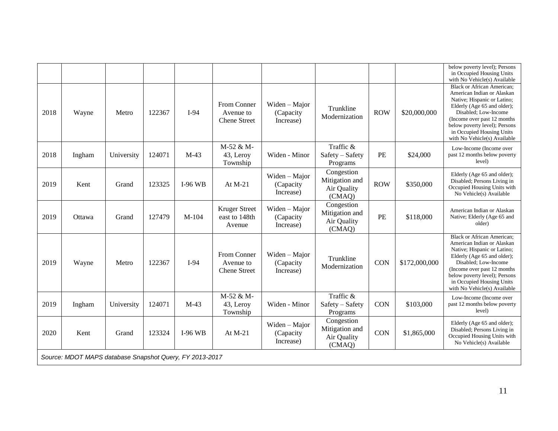|      |                                                         |            |        |           |                                                 |                                         |                                                       |            |               | below poverty level); Persons<br>in Occupied Housing Units<br>with No Vehicle(s) Available                                                                                                                                                                                         |
|------|---------------------------------------------------------|------------|--------|-----------|-------------------------------------------------|-----------------------------------------|-------------------------------------------------------|------------|---------------|------------------------------------------------------------------------------------------------------------------------------------------------------------------------------------------------------------------------------------------------------------------------------------|
| 2018 | Wayne                                                   | Metro      | 122367 | $I-94$    | From Conner<br>Avenue to<br><b>Chene Street</b> | Widen - Major<br>(Capacity<br>Increase) | Trunkline<br>Modernization                            | <b>ROW</b> | \$20,000,000  | <b>Black or African American;</b><br>American Indian or Alaskan<br>Native; Hispanic or Latino;<br>Elderly (Age 65 and older);<br>Disabled; Low-Income<br>(Income over past 12 months<br>below poverty level); Persons<br>in Occupied Housing Units<br>with No Vehicle(s) Available |
| 2018 | Ingham                                                  | University | 124071 | $M-43$    | M-52 & M-<br>43, Leroy<br>Township              | Widen - Minor                           | Traffic &<br>Safety - Safety<br>Programs              |            | \$24,000      | Low-Income (Income over<br>past 12 months below poverty<br>level)                                                                                                                                                                                                                  |
| 2019 | Kent                                                    | Grand      | 123325 | $I-96$ WB | At $M-21$                                       | Widen - Major<br>(Capacity<br>Increase) | Congestion<br>Mitigation and<br>Air Quality<br>(CMAQ) | <b>ROW</b> | \$350,000     | Elderly (Age 65 and older);<br>Disabled; Persons Living in<br>Occupied Housing Units with<br>No Vehicle(s) Available                                                                                                                                                               |
| 2019 | Ottawa                                                  | Grand      | 127479 | $M-104$   | <b>Kruger Street</b><br>east to 148th<br>Avenue | Widen - Major<br>(Capacity<br>Increase) | Congestion<br>Mitigation and<br>Air Quality<br>(CMAQ) | PE         | \$118,000     | American Indian or Alaskan<br>Native; Elderly (Age 65 and<br>older)                                                                                                                                                                                                                |
| 2019 | Wayne                                                   | Metro      | 122367 | $I-94$    | From Conner<br>Avenue to<br><b>Chene Street</b> | Widen - Major<br>(Capacity<br>Increase) | Trunkline<br>Modernization                            | <b>CON</b> | \$172,000,000 | <b>Black or African American;</b><br>American Indian or Alaskan<br>Native; Hispanic or Latino;<br>Elderly (Age 65 and older);<br>Disabled; Low-Income<br>(Income over past 12 months<br>below poverty level); Persons<br>in Occupied Housing Units<br>with No Vehicle(s) Available |
| 2019 | Ingham                                                  | University | 124071 | $M-43$    | M-52 & M-<br>43, Leroy<br>Township              | Widen - Minor                           | Traffic &<br>Safety - Safety<br>Programs              | <b>CON</b> | \$103,000     | Low-Income (Income over<br>past 12 months below poverty<br>level)                                                                                                                                                                                                                  |
| 2020 | Kent                                                    | Grand      | 123324 | $I-96$ WB | At $M-21$                                       | Widen - Major<br>(Capacity<br>Increase) | Congestion<br>Mitigation and<br>Air Quality<br>(CMAQ) | <b>CON</b> | \$1,865,000   | Elderly (Age 65 and older);<br>Disabled; Persons Living in<br>Occupied Housing Units with<br>No Vehicle(s) Available                                                                                                                                                               |
|      | Source: MDOT MAPS database Snapshot Query, FY 2013-2017 |            |        |           |                                                 |                                         |                                                       |            |               |                                                                                                                                                                                                                                                                                    |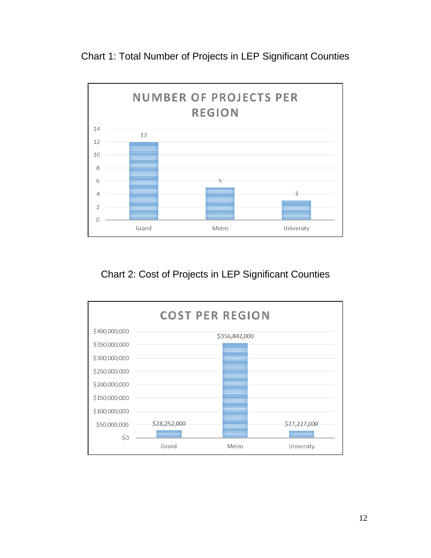Chart 1: Total Number of Projects in LEP Significant Counties



## Chart 2: Cost of Projects in LEP Significant Counties

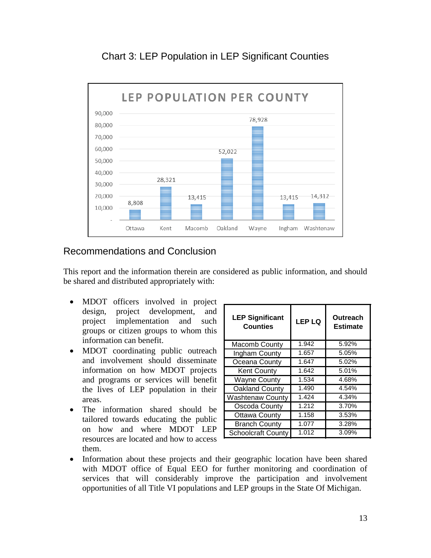

### Chart 3: LEP Population in LEP Significant Counties

### <span id="page-14-0"></span>Recommendations and Conclusion

This report and the information therein are considered as public information, and should be shared and distributed appropriately with:

- MDOT officers involved in project design, project development, and project implementation and such groups or citizen groups to whom this information can benefit.
- MDOT coordinating public outreach and involvement should disseminate information on how MDOT projects and programs or services will benefit the lives of LEP population in their areas.
- The information shared should be tailored towards educating the public on how and where MDOT LEP resources are located and how to access them.

| <b>LEP Significant</b><br><b>Counties</b> | <b>LEP LQ</b> | Outreach<br><b>Estimate</b> |  |  |  |
|-------------------------------------------|---------------|-----------------------------|--|--|--|
| Macomb County                             | 1.942         | 5.92%                       |  |  |  |
| Ingham County                             | 1.657         | 5.05%                       |  |  |  |
| Oceana County                             | 1.647         | 5.02%                       |  |  |  |
| <b>Kent County</b>                        | 1.642         | 5.01%                       |  |  |  |
| <b>Wayne County</b>                       | 1.534         | 4.68%                       |  |  |  |
| Oakland County                            | 1.490         | 4.54%                       |  |  |  |
| Washtenaw County                          | 1.424         | 4.34%                       |  |  |  |
| Oscoda County                             | 1.212         | 3.70%                       |  |  |  |
| <b>Ottawa County</b>                      | 1.158         | 3.53%                       |  |  |  |
| <b>Branch County</b>                      | 1.077         | 3.28%                       |  |  |  |
| <b>Schoolcraft County</b>                 | 1.012         | 3.09%                       |  |  |  |

 Information about these projects and their geographic location have been shared with MDOT office of Equal EEO for further monitoring and coordination of services that will considerably improve the participation and involvement opportunities of all Title VI populations and LEP groups in the State Of Michigan.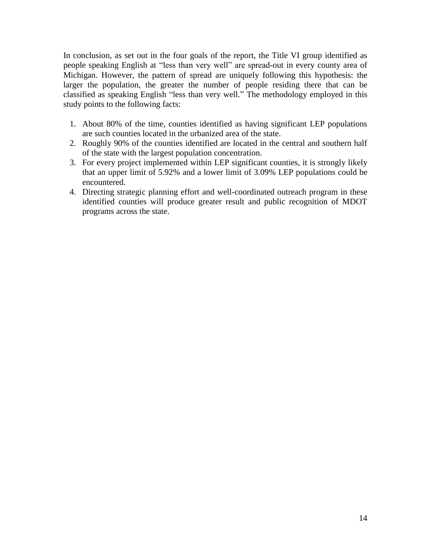In conclusion, as set out in the four goals of the report, the Title VI group identified as people speaking English at "less than very well" are spread-out in every county area of Michigan. However, the pattern of spread are uniquely following this hypothesis: the larger the population, the greater the number of people residing there that can be classified as speaking English "less than very well." The methodology employed in this study points to the following facts:

- 1. About 80% of the time, counties identified as having significant LEP populations are such counties located in the urbanized area of the state.
- 2. Roughly 90% of the counties identified are located in the central and southern half of the state with the largest population concentration.
- 3. For every project implemented within LEP significant counties, it is strongly likely that an upper limit of 5.92% and a lower limit of 3.09% LEP populations could be encountered.
- 4. Directing strategic planning effort and well-coordinated outreach program in these identified counties will produce greater result and public recognition of MDOT programs across the state.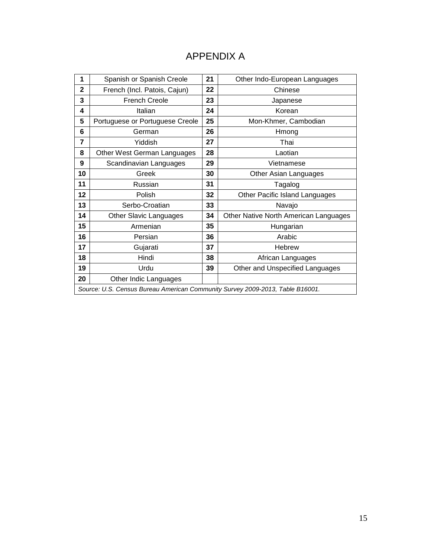### APPENDIX A

<span id="page-16-0"></span>

| 1              | Spanish or Spanish Creole                                                     | 21 | Other Indo-European Languages         |
|----------------|-------------------------------------------------------------------------------|----|---------------------------------------|
| $\mathbf{2}$   | French (Incl. Patois, Cajun)                                                  | 22 | Chinese                               |
| 3              | <b>French Creole</b>                                                          | 23 | Japanese                              |
| 4              | Italian                                                                       | 24 | Korean                                |
| 5              | Portuguese or Portuguese Creole                                               | 25 | Mon-Khmer, Cambodian                  |
| 6              | German                                                                        | 26 | Hmong                                 |
| $\overline{7}$ | Yiddish                                                                       | 27 | Thai                                  |
| 8              | Other West German Languages                                                   | 28 | Laotian                               |
| 9              | Scandinavian Languages                                                        | 29 | Vietnamese                            |
| 10             | Greek                                                                         | 30 | Other Asian Languages                 |
| 11             | Russian                                                                       | 31 | Tagalog                               |
| 12             | Polish                                                                        | 32 | Other Pacific Island Languages        |
| 13             | Serbo-Croatian                                                                | 33 | Navajo                                |
| 14             | <b>Other Slavic Languages</b>                                                 | 34 | Other Native North American Languages |
| 15             | Armenian                                                                      | 35 | Hungarian                             |
| 16             | Persian                                                                       | 36 | Arabic                                |
| 17             | Gujarati                                                                      | 37 | Hebrew                                |
| 18             | Hindi                                                                         | 38 | African Languages                     |
| 19             | Urdu                                                                          | 39 | Other and Unspecified Languages       |
| 20             | Other Indic Languages                                                         |    |                                       |
|                | Source: U.S. Census Bureau American Community Survey 2009-2013, Table B16001. |    |                                       |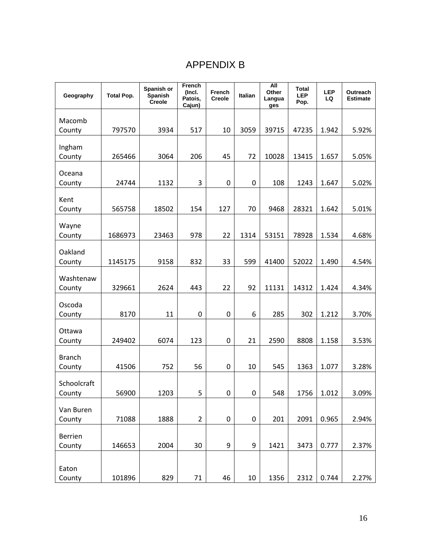# APPENDIX B

<span id="page-17-0"></span>

| Geography         | <b>Total Pop.</b> | Spanish or<br>Spanish<br><b>Creole</b> | French<br>(Incl.<br>Patois,<br>Cajun) | French<br><b>Creole</b> | Italian          | All<br>Other<br>Langua<br>ges | <b>Total</b><br><b>LEP</b><br>Pop. | <b>LEP</b><br>LQ | Outreach<br><b>Estimate</b> |
|-------------------|-------------------|----------------------------------------|---------------------------------------|-------------------------|------------------|-------------------------------|------------------------------------|------------------|-----------------------------|
| Macomb            |                   |                                        |                                       |                         |                  |                               |                                    |                  |                             |
| County            | 797570            | 3934                                   | 517                                   | 10                      | 3059             | 39715                         | 47235                              | 1.942            | 5.92%                       |
| Ingham            |                   |                                        |                                       |                         |                  |                               |                                    |                  |                             |
| County            | 265466            | 3064                                   | 206                                   | 45                      | 72               | 10028                         | 13415                              | 1.657            | 5.05%                       |
|                   |                   |                                        |                                       |                         |                  |                               |                                    |                  |                             |
| Oceana<br>County  | 24744             | 1132                                   | 3                                     | 0                       | 0                | 108                           | 1243                               | 1.647            | 5.02%                       |
|                   |                   |                                        |                                       |                         |                  |                               |                                    |                  |                             |
| Kent<br>County    | 565758            | 18502                                  | 154                                   | 127                     | 70               | 9468                          | 28321                              | 1.642            | 5.01%                       |
|                   |                   |                                        |                                       |                         |                  |                               |                                    |                  |                             |
| Wayne<br>County   | 1686973           | 23463                                  | 978                                   | 22                      | 1314             | 53151                         | 78928                              | 1.534            | 4.68%                       |
|                   |                   |                                        |                                       |                         |                  |                               |                                    |                  |                             |
| Oakland<br>County | 1145175           | 9158                                   | 832                                   | 33                      | 599              | 41400                         | 52022                              | 1.490            | 4.54%                       |
|                   |                   |                                        |                                       |                         |                  |                               |                                    |                  |                             |
| Washtenaw         | 329661            | 2624                                   | 443                                   | 22                      | 92               | 11131                         | 14312                              | 1.424            |                             |
| County            |                   |                                        |                                       |                         |                  |                               |                                    |                  | 4.34%                       |
| Oscoda            |                   |                                        |                                       |                         |                  |                               |                                    |                  |                             |
| County            | 8170              | 11                                     | 0                                     | $\boldsymbol{0}$        | 6                | 285                           | 302                                | 1.212            | 3.70%                       |
| Ottawa            |                   |                                        |                                       |                         |                  |                               |                                    |                  |                             |
| County            | 249402            | 6074                                   | 123                                   | 0                       | 21               | 2590                          | 8808                               | 1.158            | 3.53%                       |
| <b>Branch</b>     |                   |                                        |                                       |                         |                  |                               |                                    |                  |                             |
| County            | 41506             | 752                                    | 56                                    | 0                       | 10               | 545                           | 1363                               | 1.077            | 3.28%                       |
| Schoolcraft       |                   |                                        |                                       |                         |                  |                               |                                    |                  |                             |
| County            | 56900             | 1203                                   | 5                                     | 0                       | 0                | 548                           | 1756                               | 1.012            | 3.09%                       |
| Van Buren         |                   |                                        |                                       |                         |                  |                               |                                    |                  |                             |
| County            | 71088             | 1888                                   | $\overline{2}$                        | $\boldsymbol{0}$        | $\boldsymbol{0}$ | 201                           | 2091                               | 0.965            | 2.94%                       |
| <b>Berrien</b>    |                   |                                        |                                       |                         |                  |                               |                                    |                  |                             |
| County            | 146653            | 2004                                   | 30                                    | 9                       | 9                | 1421                          | 3473                               | 0.777            | 2.37%                       |
|                   |                   |                                        |                                       |                         |                  |                               |                                    |                  |                             |
| Eaton<br>County   | 101896            | 829                                    | 71                                    | 46                      | $10\,$           | 1356                          | 2312                               | 0.744            | 2.27%                       |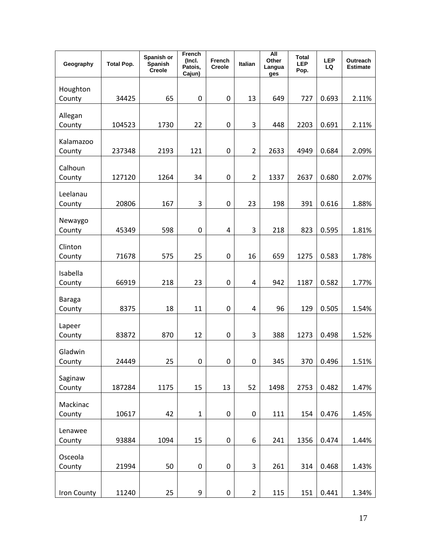| Geography           | <b>Total Pop.</b> | Spanish or<br>Spanish<br><b>Creole</b> | French<br>(Incl.<br>Patois,<br>Cajun) | French<br>Creole | Italian          | <b>All</b><br>Other<br>Langua<br>ges | <b>Total</b><br><b>LEP</b><br>Pop. | <b>LEP</b><br>LQ | Outreach<br>Estimate |
|---------------------|-------------------|----------------------------------------|---------------------------------------|------------------|------------------|--------------------------------------|------------------------------------|------------------|----------------------|
| Houghton<br>County  | 34425             | 65                                     | 0                                     | 0                | 13               | 649                                  | 727                                | 0.693            | 2.11%                |
|                     |                   |                                        |                                       |                  |                  |                                      |                                    |                  |                      |
| Allegan<br>County   | 104523            | 1730                                   | 22                                    | 0                | 3                | 448                                  | 2203                               | 0.691            | 2.11%                |
|                     |                   |                                        |                                       |                  |                  |                                      |                                    |                  |                      |
| Kalamazoo<br>County | 237348            | 2193                                   | 121                                   | $\mathbf 0$      | $\overline{2}$   | 2633                                 | 4949                               | 0.684            | 2.09%                |
|                     |                   |                                        |                                       |                  |                  |                                      |                                    |                  |                      |
| Calhoun<br>County   | 127120            | 1264                                   | 34                                    | 0                | $\mathbf 2$      | 1337                                 | 2637                               | 0.680            | 2.07%                |
|                     |                   |                                        |                                       |                  |                  |                                      |                                    |                  |                      |
| Leelanau<br>County  | 20806             | 167                                    | 3                                     | 0                | 23               | 198                                  | 391                                | 0.616            | 1.88%                |
|                     |                   |                                        |                                       |                  |                  |                                      |                                    |                  |                      |
| Newaygo<br>County   | 45349             | 598                                    | $\mathbf 0$                           | 4                | 3                | 218                                  | 823                                | 0.595            | 1.81%                |
| Clinton             |                   |                                        |                                       |                  |                  |                                      |                                    |                  |                      |
| County              | 71678             | 575                                    | 25                                    | 0                | 16               | 659                                  | 1275                               | 0.583            | 1.78%                |
| Isabella            |                   |                                        |                                       |                  |                  |                                      |                                    |                  |                      |
| County              | 66919             | 218                                    | 23                                    | 0                | 4                | 942                                  | 1187                               | 0.582            | 1.77%                |
| <b>Baraga</b>       |                   |                                        |                                       |                  |                  |                                      |                                    |                  |                      |
| County              | 8375              | 18                                     | 11                                    | 0                | 4                | 96                                   | 129                                | 0.505            | 1.54%                |
| Lapeer              |                   |                                        |                                       |                  |                  |                                      |                                    |                  |                      |
| County              | 83872             | 870                                    | 12                                    | 0                | 3                | 388                                  | 1273                               | 0.498            | 1.52%                |
| Gladwin             |                   |                                        |                                       |                  |                  |                                      |                                    |                  |                      |
| County              | 24449             | 25                                     | 0                                     | 0                | $\boldsymbol{0}$ | 345                                  | 370                                | 0.496            | 1.51%                |
| Saginaw             |                   |                                        |                                       |                  |                  |                                      |                                    |                  |                      |
| County              | 187284            | 1175                                   | 15                                    | 13               | 52               | 1498                                 | 2753                               | 0.482            | 1.47%                |
| Mackinac            |                   |                                        |                                       |                  |                  |                                      |                                    |                  |                      |
| County              | 10617             | 42                                     | $\mathbf{1}$                          | $\mathbf 0$      | $\pmb{0}$        | 111                                  | 154                                | 0.476            | 1.45%                |
| Lenawee             |                   |                                        |                                       |                  |                  |                                      |                                    |                  |                      |
| County              | 93884             | 1094                                   | 15                                    | $\mathbf 0$      | 6                | 241                                  | 1356                               | 0.474            | 1.44%                |
| Osceola             |                   |                                        |                                       |                  |                  |                                      |                                    |                  |                      |
| County              | 21994             | 50                                     | $\pmb{0}$                             | $\pmb{0}$        | 3                | 261                                  | 314                                | 0.468            | 1.43%                |
| <b>Iron County</b>  | 11240             | 25                                     | 9                                     | $\boldsymbol{0}$ | $\overline{2}$   | 115                                  | 151                                | 0.441            | 1.34%                |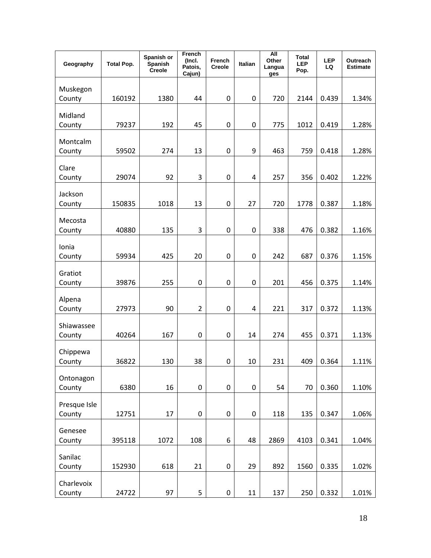| Geography              | <b>Total Pop.</b> | Spanish or<br>Spanish<br>Creole | French<br>(Incl.<br>Patois,<br>Cajun) | <b>French</b><br>Creole | Italian   | <b>All</b><br>Other<br>Langua<br>ges | <b>Total</b><br><b>LEP</b><br>Pop. | <b>LEP</b><br>LQ | Outreach<br><b>Estimate</b> |
|------------------------|-------------------|---------------------------------|---------------------------------------|-------------------------|-----------|--------------------------------------|------------------------------------|------------------|-----------------------------|
| Muskegon<br>County     | 160192            | 1380                            | 44                                    | $\boldsymbol{0}$        | 0         | 720                                  | 2144                               | 0.439            | 1.34%                       |
| Midland<br>County      | 79237             | 192                             | 45                                    | $\boldsymbol{0}$        | 0         | 775                                  | 1012                               | 0.419            | 1.28%                       |
| Montcalm<br>County     | 59502             | 274                             | 13                                    | $\mathbf 0$             | 9         | 463                                  | 759                                | 0.418            | 1.28%                       |
| Clare<br>County        | 29074             | 92                              | 3                                     | $\mathbf 0$             | 4         | 257                                  | 356                                | 0.402            | 1.22%                       |
| Jackson<br>County      | 150835            | 1018                            | 13                                    | $\mathbf 0$             | 27        | 720                                  | 1778                               | 0.387            | 1.18%                       |
| Mecosta<br>County      | 40880             | 135                             | 3                                     | $\boldsymbol{0}$        | 0         | 338                                  | 476                                | 0.382            | 1.16%                       |
| Ionia<br>County        | 59934             | 425                             | 20                                    | $\mathbf 0$             | 0         | 242                                  | 687                                | 0.376            | 1.15%                       |
| Gratiot<br>County      | 39876             | 255                             | $\boldsymbol{0}$                      | $\pmb{0}$               | 0         | 201                                  | 456                                | 0.375            | 1.14%                       |
| Alpena<br>County       | 27973             | 90                              | $\overline{2}$                        | $\mathbf 0$             | 4         | 221                                  | 317                                | 0.372            | 1.13%                       |
| Shiawassee<br>County   | 40264             | 167                             | 0                                     | 0                       | 14        | 274                                  | 455                                | 0.371            | 1.13%                       |
| Chippewa<br>County     | 36822             | 130                             | 38                                    | $\pmb{0}$               | 10        | 231                                  | 409                                | 0.364            | 1.11%                       |
| Ontonagon<br>County    | 6380              | 16                              | $\pmb{0}$                             | $\pmb{0}$               | $\pmb{0}$ | 54                                   | 70                                 | 0.360            | 1.10%                       |
| Presque Isle<br>County | 12751             | 17                              | $\pmb{0}$                             | $\pmb{0}$               | $\pmb{0}$ | 118                                  | 135                                | 0.347            | 1.06%                       |
| Genesee<br>County      | 395118            | 1072                            | 108                                   | 6                       | 48        | 2869                                 | 4103                               | 0.341            | 1.04%                       |
| Sanilac<br>County      | 152930            | 618                             | 21                                    | $\pmb{0}$               | 29        | 892                                  | 1560                               | 0.335            | 1.02%                       |
| Charlevoix<br>County   | 24722             | 97                              | 5                                     | $\pmb{0}$               | 11        | 137                                  | 250                                | 0.332            | 1.01%                       |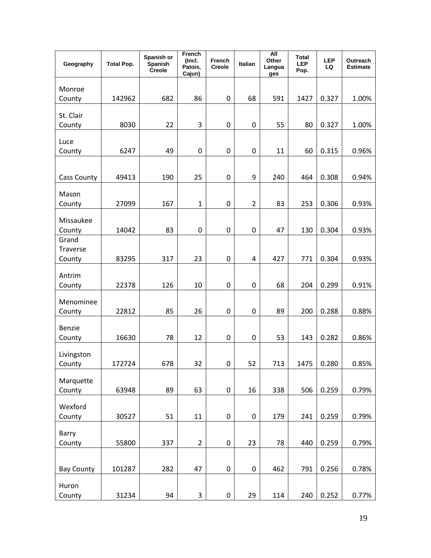| Geography           | <b>Total Pop.</b> | Spanish or<br>Spanish<br>Creole | French<br>(Incl.<br>Patois,<br>Cajun) | French<br>Creole | Italian          | <b>All</b><br>Other<br>Langua<br>ges | <b>Total</b><br><b>LEP</b><br>Pop. | <b>LEP</b><br>LQ | Outreach<br><b>Estimate</b> |
|---------------------|-------------------|---------------------------------|---------------------------------------|------------------|------------------|--------------------------------------|------------------------------------|------------------|-----------------------------|
|                     |                   |                                 |                                       |                  |                  |                                      |                                    |                  |                             |
| Monroe<br>County    | 142962            | 682                             | 86                                    | 0                | 68               | 591                                  | 1427                               | 0.327            | 1.00%                       |
|                     |                   |                                 |                                       |                  |                  |                                      |                                    |                  |                             |
| St. Clair<br>County | 8030              | 22                              | 3                                     | 0                | 0                | 55                                   | 80                                 | 0.327            | 1.00%                       |
|                     |                   |                                 |                                       |                  |                  |                                      |                                    |                  |                             |
| Luce<br>County      | 6247              | 49                              | 0                                     | $\mathbf 0$      | 0                | 11                                   | 60                                 | 0.315            | 0.96%                       |
|                     |                   |                                 |                                       |                  |                  |                                      |                                    |                  |                             |
| Cass County         | 49413             | 190                             | 25                                    | $\mathbf 0$      | 9                | 240                                  | 464                                | 0.308            | 0.94%                       |
| Mason               |                   |                                 |                                       |                  |                  |                                      |                                    |                  |                             |
| County              | 27099             | 167                             | $\mathbf{1}$                          | 0                | $\overline{2}$   | 83                                   | 253                                | 0.306            | 0.93%                       |
|                     |                   |                                 |                                       |                  |                  |                                      |                                    |                  |                             |
| Missaukee<br>County | 14042             | 83                              | 0                                     | 0                | $\pmb{0}$        | 47                                   | 130                                | 0.304            | 0.93%                       |
| Grand               |                   |                                 |                                       |                  |                  |                                      |                                    |                  |                             |
| <b>Traverse</b>     |                   |                                 |                                       |                  |                  |                                      |                                    |                  |                             |
| County              | 83295             | 317                             | 23                                    | $\mathbf 0$      | 4                | 427                                  | 771                                | 0.304            | 0.93%                       |
| Antrim              |                   |                                 |                                       |                  |                  |                                      |                                    |                  |                             |
| County              | 22378             | 126                             | 10                                    | 0                | $\boldsymbol{0}$ | 68                                   | 204                                | 0.299            | 0.91%                       |
| Menominee           |                   |                                 |                                       |                  |                  |                                      |                                    |                  |                             |
| County              | 22812             | 85                              | 26                                    | 0                | $\pmb{0}$        | 89                                   | 200                                | 0.288            | 0.88%                       |
| Benzie              |                   |                                 |                                       |                  |                  |                                      |                                    |                  |                             |
| County              | 16630             | 78                              | 12                                    | 0                | $\boldsymbol{0}$ | 53                                   | 143                                | 0.282            | 0.86%                       |
| Livingston          |                   |                                 |                                       |                  |                  |                                      |                                    |                  |                             |
| County              | 172724            | 678                             | 32                                    | 0                | 52               | 713                                  | 1475                               | 0.280            | 0.85%                       |
| Marquette           |                   |                                 |                                       |                  |                  |                                      |                                    |                  |                             |
| County              | 63948             | 89                              | 63                                    | $\pmb{0}$        | 16               | 338                                  | 506                                | 0.259            | 0.79%                       |
| Wexford             |                   |                                 |                                       |                  |                  |                                      |                                    |                  |                             |
| County              | 30527             | 51                              | 11                                    | $\pmb{0}$        | $\pmb{0}$        | 179                                  | 241                                | 0.259            | 0.79%                       |
| Barry               |                   |                                 |                                       |                  |                  |                                      |                                    |                  |                             |
| County              | 55800             | 337                             | $\overline{2}$                        | $\pmb{0}$        | 23               | 78                                   | 440                                | 0.259            | 0.79%                       |
|                     |                   |                                 |                                       |                  |                  |                                      |                                    |                  |                             |
| <b>Bay County</b>   | 101287            | 282                             | 47                                    | $\pmb{0}$        | $\pmb{0}$        | 462                                  | 791                                | 0.256            | 0.78%                       |
| Huron               |                   |                                 |                                       |                  |                  |                                      |                                    |                  |                             |
| County              | 31234             | 94                              | 3                                     | $\pmb{0}$        | 29               | 114                                  | 240                                | 0.252            | 0.77%                       |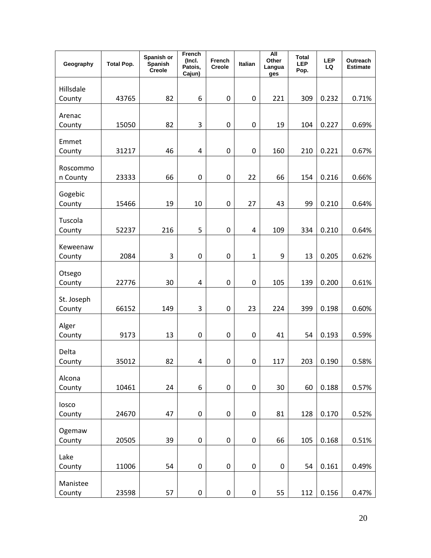| Geography            | <b>Total Pop.</b> | Spanish or<br>Spanish<br>Creole | French<br>(Incl.<br>Patois,<br>Cajun) | French<br>Creole | Italian          | <b>All</b><br>Other<br>Langua<br>ges | <b>Total</b><br><b>LEP</b><br>Pop. | <b>LEP</b><br>LQ | Outreach<br><b>Estimate</b> |
|----------------------|-------------------|---------------------------------|---------------------------------------|------------------|------------------|--------------------------------------|------------------------------------|------------------|-----------------------------|
| Hillsdale            |                   |                                 |                                       |                  |                  |                                      |                                    |                  |                             |
| County               | 43765             | 82                              | 6                                     | 0                | $\pmb{0}$        | 221                                  | 309                                | 0.232            | 0.71%                       |
| Arenac               |                   |                                 |                                       |                  |                  |                                      |                                    |                  |                             |
| County               | 15050             | 82                              | 3                                     | 0                | 0                | 19                                   | 104                                | 0.227            | 0.69%                       |
| Emmet                |                   |                                 |                                       |                  |                  |                                      |                                    |                  |                             |
| County               | 31217             | 46                              | 4                                     | $\mathbf 0$      | $\pmb{0}$        | 160                                  | 210                                | 0.221            | 0.67%                       |
| Roscommo<br>n County | 23333             | 66                              | $\mathbf 0$                           | $\mathbf 0$      | 22               | 66                                   | 154                                | 0.216            | 0.66%                       |
|                      |                   |                                 |                                       |                  |                  |                                      |                                    |                  |                             |
| Gogebic<br>County    | 15466             | 19                              | 10                                    | $\mathbf 0$      | 27               | 43                                   | 99                                 | 0.210            | 0.64%                       |
| Tuscola              |                   |                                 |                                       |                  |                  |                                      |                                    |                  |                             |
| County               | 52237             | 216                             | 5                                     | $\mathbf 0$      | 4                | 109                                  | 334                                | 0.210            | 0.64%                       |
| Keweenaw             |                   |                                 |                                       |                  |                  |                                      |                                    |                  |                             |
| County               | 2084              | 3                               | 0                                     | $\mathbf 0$      | $\mathbf{1}$     | 9                                    | 13                                 | 0.205            | 0.62%                       |
| Otsego               |                   |                                 |                                       |                  |                  |                                      |                                    |                  |                             |
| County               | 22776             | 30                              | 4                                     | 0                | $\boldsymbol{0}$ | 105                                  | 139                                | 0.200            | 0.61%                       |
| St. Joseph           |                   |                                 |                                       |                  |                  |                                      |                                    |                  |                             |
| County               | 66152             | 149                             | 3                                     | 0                | 23               | 224                                  | 399                                | 0.198            | 0.60%                       |
| Alger                |                   |                                 |                                       |                  |                  |                                      |                                    |                  |                             |
| County               | 9173              | 13                              | 0                                     | 0                | 0                | 41                                   | 54                                 | 0.193            | 0.59%                       |
| Delta                |                   |                                 |                                       |                  |                  |                                      |                                    |                  |                             |
| County               | 35012             | 82                              | 4                                     | $\mathbf 0$      | $\pmb{0}$        | 117                                  | 203                                | 0.190            | 0.58%                       |
| Alcona               |                   |                                 |                                       |                  |                  |                                      |                                    |                  |                             |
| County               | 10461             | 24                              | 6                                     | $\pmb{0}$        | $\pmb{0}$        | 30                                   | 60                                 | 0.188            | 0.57%                       |
| losco                |                   |                                 |                                       |                  |                  |                                      |                                    |                  |                             |
| County               | 24670             | 47                              | $\boldsymbol{0}$                      | $\pmb{0}$        | $\pmb{0}$        | 81                                   | 128                                | 0.170            | 0.52%                       |
| Ogemaw               |                   |                                 |                                       |                  |                  |                                      |                                    |                  |                             |
| County               | 20505             | 39                              | $\boldsymbol{0}$                      | $\pmb{0}$        | $\pmb{0}$        | 66                                   | 105                                | 0.168            | 0.51%                       |
| Lake                 |                   |                                 |                                       |                  |                  |                                      |                                    |                  |                             |
| County               | 11006             | 54                              | $\pmb{0}$                             | $\pmb{0}$        | $\pmb{0}$        | $\pmb{0}$                            | 54                                 | 0.161            | 0.49%                       |
| Manistee             |                   |                                 |                                       |                  |                  |                                      |                                    |                  |                             |
| County               | 23598             | 57                              | $\pmb{0}$                             | $\boldsymbol{0}$ | $\pmb{0}$        | 55                                   | 112                                | 0.156            | 0.47%                       |